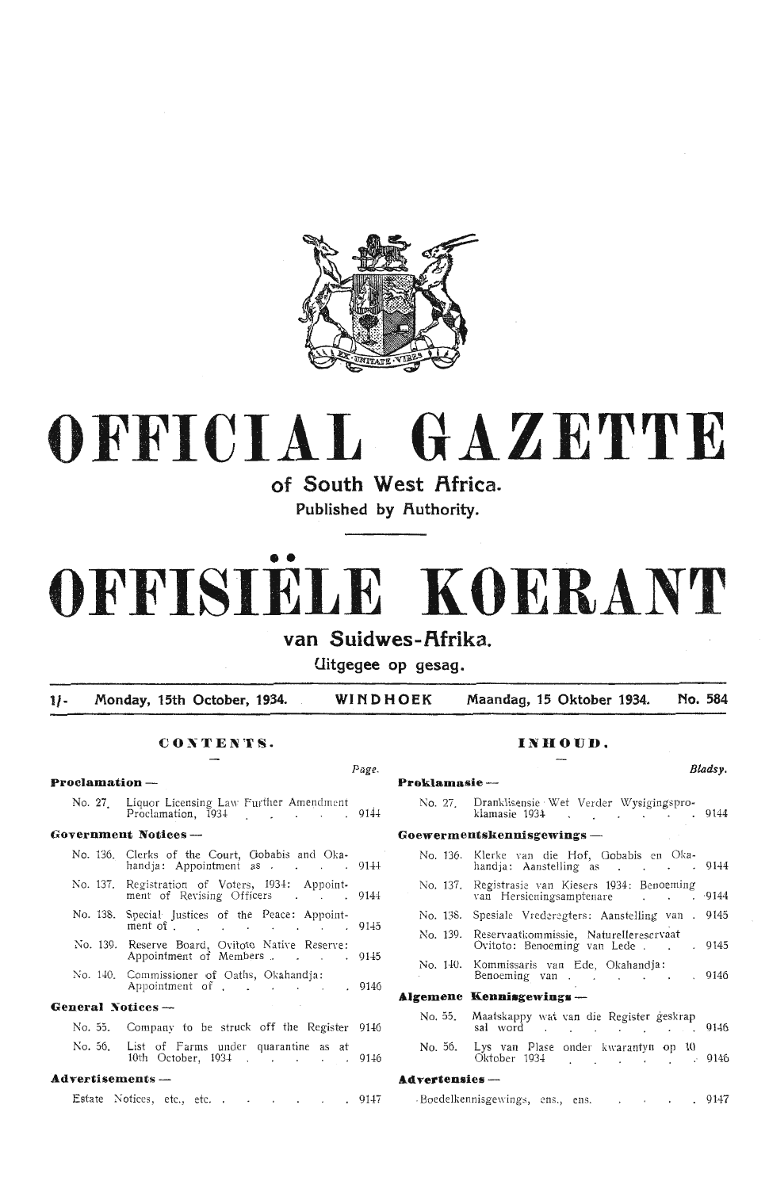

# **OFFICIAL GAZETTE**

**of South West f\frica.** 

Published by Authority.

# •• **OFFISIELE KOERANT**

## van Suidwes-Afrika.

**Uitgegee op gesag.** 

**1/- Monday, 15th October, 1934. WINDHOEK Maandag, 15 Oktober 1934. No. 584** 

## CONTENTS. INHOUD.

**Proclamation - Proklamasie** -

|                   | No. 27. Liquor Licensing Law Further Amendment<br>Proclamation, 1934 9144                                    |  | No. 27. Dranklisensie Wet Ver<br>klamasie 1934.          |
|-------------------|--------------------------------------------------------------------------------------------------------------|--|----------------------------------------------------------|
|                   | Government Notices ---                                                                                       |  | Goewermentskennisgewings-                                |
|                   | No. 136. Clerks of the Court, Gobabis and Oka-<br>handja: Appointment as 9144                                |  | No. 136. Klerke van die Hof,<br>handja: Aanstelling a    |
|                   | No. 137. Registration of Voters, 1934: Appoint-<br>ment of Revising Officers 9144                            |  | No. 137. Registrasie van Kieser<br>van Hersieningsampter |
|                   | No. 138. Special Justices of the Peace: Appoint-                                                             |  | No. 138. Spesiale Vrederegters:                          |
|                   | ment of $\ldots$ $\ldots$ $\ldots$ $\ldots$ $\qquad$ 4145<br>No. 139. Reserve Board, Ovitoto Native Reserve: |  | No. 139. Reservaatkommissie, N<br>Ovitoto: Benoeming v   |
|                   | Appointment of Members 9145                                                                                  |  | No. 140. Kommissaris van Ede                             |
|                   | No. 140. Commissioner of Oaths, Okahandja:<br>Appointment of 9146                                            |  | Benoeming van.                                           |
|                   |                                                                                                              |  | Algemene Kennisgewings --                                |
| General Notices — |                                                                                                              |  | No. 55. Maatskappy wat van d                             |
|                   | No. 55. Company to be struck off the Register 9146                                                           |  | sal word.                                                |
|                   | No. 56. List of Farms under quarantine as at<br>10th October, 1934 9146                                      |  | No. 56. Lys van Plase onder<br>Oktober 1934              |

#### **Advertisements -- Advertisements -- Advertensies --**

Estate Notices, etc., etc. . . . . . . 9147 Boedelkennisgewings, ens. . . . . . . 9147

*Page. Bladsy.* 

| No. 27. Dranklisensie Wet Verder Wysigingspro-<br>klamasie 1934 9144                                                                                                                                                                                                              |      |
|-----------------------------------------------------------------------------------------------------------------------------------------------------------------------------------------------------------------------------------------------------------------------------------|------|
| Goewermentskennisgewings —                                                                                                                                                                                                                                                        |      |
| No. 136. Klerke van die Hof, Gobabis en Oka-<br>handja: Aanstelling as 9144                                                                                                                                                                                                       |      |
| No. 137. Registrasie van Kiesers 1934: Benoeming<br>van Hersieningsamptenare 9144                                                                                                                                                                                                 |      |
| No. 138. Spesiale Vrederegters: Aanstelling van . 9145                                                                                                                                                                                                                            |      |
| No. 139. Reservaatkommissie, Naturellereservaat<br>Ovitoto: Benoeming van Lede 9145                                                                                                                                                                                               |      |
| No. 140. Kommissaris van Ede, Okahandja:<br>Benoeming van 9146                                                                                                                                                                                                                    |      |
| Algemene Kennisgewings ---                                                                                                                                                                                                                                                        |      |
| No. 55. Maatskappy wat van die Register geskrap<br>sal word and the same of the same of the same of the same of the same of the same of the same of the same of the same of the same of the same of the same of the same of the same of the same of the same of the same of the s | 9146 |
| No. 56. Lys van Plase onder kwarantyn op 10<br>Oktober 1934 (a) 1946                                                                                                                                                                                                              |      |
|                                                                                                                                                                                                                                                                                   |      |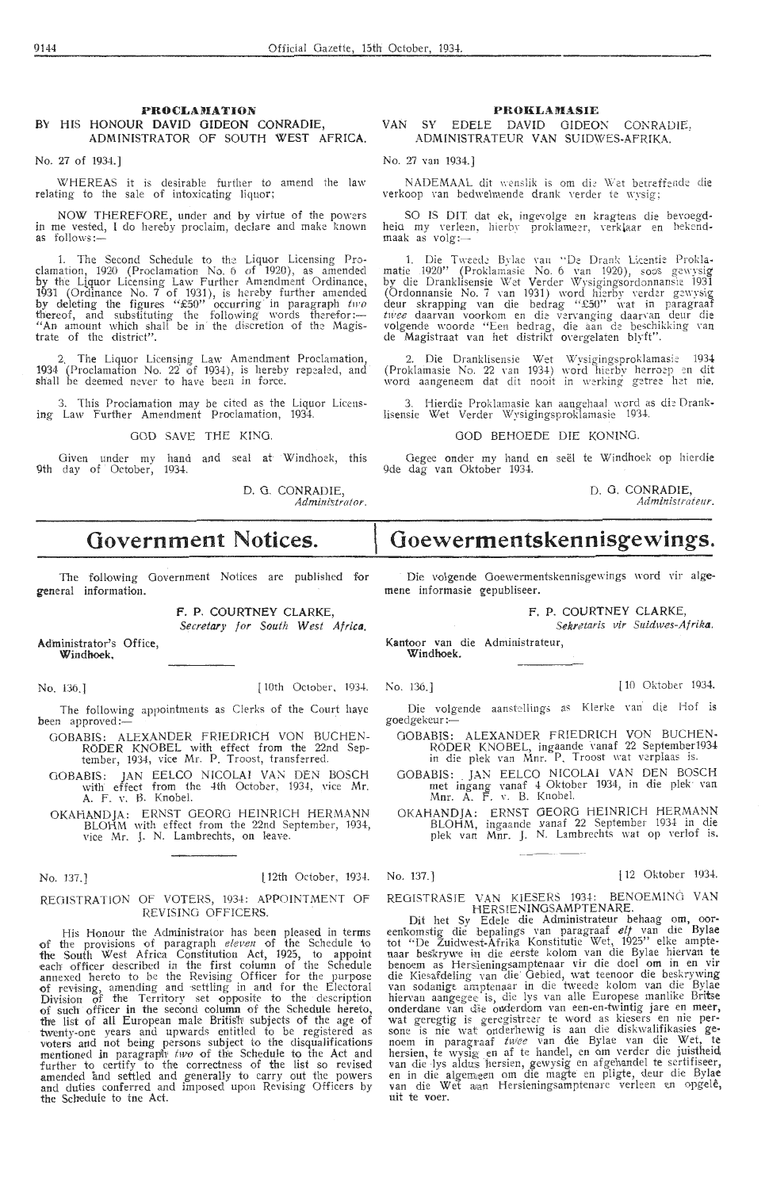#### **PROCLAMATION** HIS HONOUR DAVID GIDEON CONRADIE.  $RV$ ADMINISTRATOR OF SOUTH WEST AFRICA.

No. 27 of 1934 1

WHEREAS it is desirable further to amend the law relating to the sale of intoxicating liquor:

NOW THEREFORE, under and by virtue of the powers<br>in me vested, I do hereby proclaim, declare and make known  $as$  follows:

1. The Second Schedule to the Liquor Licensing Pro-<br>clamation, 1920 (Proclamation No. 6 of 1920), as amended<br>by the Liquor Licensing Law Further Amendment Ordinance,<br>1931 (Ordinance No. 7 of 1931), is hereby further amend trate of the district".

2. The Liquor Licensing Law Amendment Proclamation.<br>1934 (Proclamation No. 22 of 1934), is hereby repealed, and<br>shall be deemed never to have been in force.

3. This Proclamation may be cited as the Liquor Licensing Law Further Amendment Proclamation, 1934.

#### GOD SAVE THE KING

Given under my hand and seal at Windhoek, this<br>9th day of October, 1934.

D. G. CONRADIE Administrator

## **Government Notices.**

The following Government Notices are published for general information.

F. P. COURTNEY CLARKE

Secretary for South West Africa.

Administrator's Office. Windhoek.

No. 136.]

10th October, 1934 No. 136.

The following appointments as Clerks of the Court have been approved:

- GOBABIS: ALEXANDER FRIEDRICH VON BUCHEN-RÖDER KNOBEL with effect from the 22nd Sep<br>tember, 1934, vice Mr. P. Troost, transferred.
- GOBABIS: JAN EELCO NICOLAI VAN DEN BOSCH<br>with effect from the 4th October, 1934, vice Mr.<br>A. F. v. B. Knobel.
- OKAHANDJA: ERNST GEORG HEINRICH HERMANN BLOHM with effect from the 22nd September, 1934<br>vice Mr. J. N. Lambrechts, on leave.

#### No. 137.

12th October, 1934

#### REGISTRATION OF VOTERS, 1934: APPOINTMENT OF REVISING OFFICERS.

His Honour the Administrator has been pleased in terms<br>of the provisions of paragraph *eleven* of the Schedule to<br>the South West Africa Constitution Act, 1925, to appoint<br>each officer described in the first column of the S further to certify to the correctness of the list so revised<br>amended and settled and generally to carry out the powers<br>and duties conferred and imposed upon Revising Officers by the Schedule to the Act

#### **PROKLAMASIE**

#### VAN SY EDELE DAVID GIDEON CONRADIE. ADMINISTRATEUR VAN SUIDWES-AFRIKA

No. 27 you 1034.3

NADEMAAL dit wenslik is om die Wet betreffende die verkoop van bedwelmende drank verder te wysig:

SO IS DIT dat ek, ingevolge en kragtens die bevoegd-<br>heid my verleen, hierby proklameer, verklaar en bekend- $\frac{m_1}{m_2}$   $\frac{m_2}{m_3}$   $\frac{m_1}{m_2}$ 

1. Die Tweede Bylae van "De Drank Licentie Prokla-<br>matie 1920" (Proklamasie No. 6 van 1920), soos gewysig<br>by die Dranklisensie Wet Verder Wysigingsordonnansie 1931<br>(Ordonnansie No. 7 van 1931) word hierby verder gewysig<br>de

2. Die Dranklisensie Wet Wysigingsproklamasie 1934<br>(Proklamasie No. 22 van 1934) word hierby herroep en dit<br>word aangeneem dat dit nooit in werking getree het nie.

3. Hierdie Proklamasie kan aangehaal word as die Drank-<br>lisensie Wet Verder Wysigingsproklamasie 1934.

#### GOD BEHOEDE DIE KONING

Gegee onder my hand en seël te Windhoek op hierdie<br>9de dag van Oktober 1934.

D G CONRADIE Administrateur

# Goewermentskennisgewings.

Die volgende Goewermentskennisgewings word vir alge mene informasie gepubliseer.

#### F. P. COURTNEY CLARKE

Sepretaris vir Suidwes-Afrika

Kantoor van die Administrateur. Windhook

 $110$  O<sup>ttober</sup>  $1034$ 

Die volgende aanstellings as Klerke van die Hof is goedgekeur:-

- ABIS: ALEXANDER FRIEDRICH VON BUCHEN<br>RÖDER KNOBEL, ingaande vanaf 22 September1934<br>in die plek van Mnr. P. Troost wat verplaas is. GORARIS.
- ABIS: JAN EELCO NICOLAI VAN DEN BOSCH<br>met ingang vanaf 4 Oktober 1934, in die plek van<br>Mnr. A. F. v. B. Knobel. GOBABIS:
- OKAHANDJA: ERNST GEORG HEINRICH HERMANN<br>BLOHM, ingaande vanaf 22 September 1934 in die<br>plek van Mnr. J. N. Lambrechts wat op verlof is.

No. 137.

REGISTRASIE VAN KIESERS 1934: BEN<br>HERSIENINGSAMPTENARE BENOEMING VAN

HERSIENINGSAMPTENARE.<br>
Dit het Sy Edele die Administrateur behaag om, oor-<br>
eenkomstig die bepalings van paragraaf elt van die Bylae<br>
tot "De Zuidwest-Afrika Konstitutie Wet, 1925" elke ampte-<br>
naar beskrywe in die eerste onderdane van die ouderdom van een-en-twintig jare en meer,<br>wat geregtig is geregistraar te word as kiesers en nie per-<br>sone is nie wat onderhewig is aan die diskwalifikasies ge-<br>noem in paragraaf *twee* van die Bylae van uit te voer

 $112$  Oktober  $1031$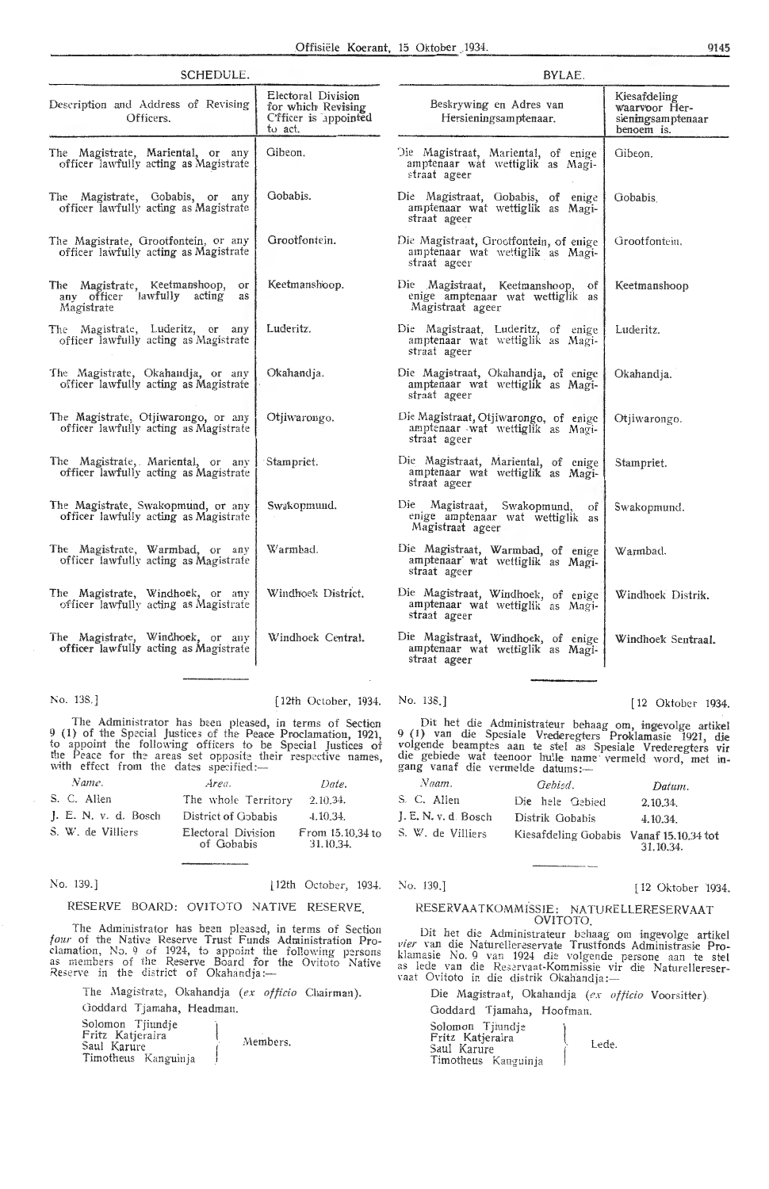| SCHEDULE.                                                                              |                                                                              | BYLAE.                                                                                     |                                                                  |  |  |  |
|----------------------------------------------------------------------------------------|------------------------------------------------------------------------------|--------------------------------------------------------------------------------------------|------------------------------------------------------------------|--|--|--|
| Description and Address of Revising<br>Officers.                                       | Electoral Division<br>for which Revising<br>C'fficer is appointed<br>to act. | Beskrywing en Adres van<br>Hersieningsamptenaar.                                           | Kiesafdeling<br>waarvoor Her-<br>sieningsamptenaar<br>benoem is. |  |  |  |
| The Magistrate, Mariental, or any<br>officer lawfully acting as Magistrate             | Gibeon.                                                                      | Die Magistraat, Mariental, of enige<br>amptenaar wat wettiglik as Magi-<br>straat ageer    | Gibeon.                                                          |  |  |  |
| The Magistrate, Gobabis, or any<br>officer lawfully acting as Magistrate               | Gobabis.                                                                     | Die Magistraat, Gobabis, of enige<br>amptenaar wat wettiglik as Magi-<br>straat ageer      | Gobabis                                                          |  |  |  |
| The Magistrate, Grootfontein, or any<br>officer lawfully acting as Magistrate          | Grootfontein.                                                                | Die Magistraat, Grootfontein, of enige<br>amptenaar wat wettiglik as Magi-<br>straat ageer | Grootfontein,                                                    |  |  |  |
| The Magistrate, Keetmanshoop,<br>or<br>any officer lawfully acting<br>as<br>Magistrate | Keetmanshoop.                                                                | Die Magistraat, Keetmanshoop, of<br>enige amptenaar wat wettiglik as<br>Magistraat ageer   | Keetmanshoop                                                     |  |  |  |
| The Magistrate, Luderitz, or<br>any<br>officer lawfully acting as Magistrate           | Luderitz.                                                                    | Die Magistraat, Luderitz, of enige<br>amptenaar wat wettiglik as Magi-<br>straat ageer     | Luderitz.                                                        |  |  |  |
| The Magistrate, Okahandja, or any<br>officer lawfully acting as Magistrate             | Okahandja.                                                                   | Die Magistraat, Okahandja, of enige<br>amptenaar wat wettiglik as Magi-<br>straat ageer    | Okahandja.                                                       |  |  |  |
| The Magistrate, Otjiwarongo, or any<br>officer lawfully acting as Magistrate           | Otjiwarongo.                                                                 | Die Magistraat, Otjiwarongo, of enige<br>amptenaar wat wettiglik as Magi-<br>straat ageer  | Otiiwarongo.                                                     |  |  |  |
| The Magistrate, Mariental, or any<br>officer lawfully acting as Magistrate             | Stampriet.                                                                   | Die Magistraat, Mariental, of enige<br>amptenaar wat wettiglik as Magi-<br>straat ageer    | Stampriet.                                                       |  |  |  |
| The Magistrate, Swakopmund, or any<br>officer lawfully acting as Magistrate            | Swakopmund.                                                                  | Die Magistraat, Swakopmund,<br>оf<br>enige amptenaar wat wettiglik as<br>Magistraat ageer  | Swakopmund.                                                      |  |  |  |
| The Magistrate, Warmbad, or any<br>officer lawfully acting as Magistrate               | Warmbad.                                                                     | Die Magistraat, Warmbad, of enige<br>amptenaar wat wettiglik as Magi-<br>straat ageer      | Warmbad.                                                         |  |  |  |
| The Magistrate, Windhoek, or any<br>officer lawfully acting as Magistrate              | Windhoek District.                                                           | Die Magistraat, Windhoek, of enige<br>amptenaar wat wettiglik as Magi-<br>straat ageer     | Windhoek Distrik.                                                |  |  |  |
| The Magistrate, Windhoek, or any<br>officer lawfully acting as Magistrate              | Windhoek Central.                                                            | Die Magistraat, Windhoek, of enige<br>amptenaar wat wettiglik as Magi-<br>straat ageer     | Windhoek Sentraal.                                               |  |  |  |
|                                                                                        |                                                                              |                                                                                            |                                                                  |  |  |  |

No. 138.] [ 12th October, 1934. No. 138.] [ 12 Oktober 1934.

The Administrator has been pleased, in terms of Section 9 (1) of the Special Justices of the Peace Proclamation, 1921, to appoint the following officers to be Special Justices of the Peace for the areas set opposite their respective names, with effect from the dates specified:-

| Name.                            | Area.                            | Date.                         |
|----------------------------------|----------------------------------|-------------------------------|
| S. C. Allen                      | The whole Territory              | 2.10.34.                      |
| $\mathsf{L}$ . E. N. v. d. Bosch | District of Gobabis              | 4.10.34.                      |
| S. W. de Villiers                | Electoral Division<br>of Gobabis | From 15.10.34 to<br>31.10.34. |

No. 139.] [12th October, 1934. No. 139.] [12 Oktober 1934.

### RESERVE BOARD: OVITOTO NATIVE RESERVE.

The Administrator has been pleased, in terms of Section *four* of the Native Reserve Trust Funds Administration Proclamation, No. 9 of 1924, to appoint the following persons as members of the Reserve Board for the Ovitoto Native Reserve in the district of Okahandja:-

The Magistrate, Okahandja (ex officio Chairman). Goddard Tjamaha, Headman. Solomon Tjiundje Fritz Katjeraira Saui Karure Timotheus Kanguinja Members.

31.10.34.

Die hele Gebied 2.10.34.

Dit het die Administrateur behaag om, ingevolge artikel 9 (1) van die Spesiale Vrederegters Proklamasie 1921, die volgende beamptes aan te stel as Spesiale Vrederegters vir die gebiede wat teenoor hulle name vermeld word, met ingang vanaf die vermelde datums:-

*Naam.* Oebfod. *Datum.* 

J. E. N. v. d. Bosch Distrik Gobabis 4.10.34. S. W. de Villiers Kiesafdeling Gobabis Vanaf 15.10.34 tot

#### RESERVAATKOMMISSIE: NATURELLERESERVAAT OVITOTO

Dit het die Administrateur behaag om ingevolge artikel vier van die Naturellereservate Trustfonds Administrasie Proklamasie No. 9 van 1924 die volgende persone aan te stel as lede van die Reservaat-Kommissie vir die Naturellereser-<br>vaat Ovitoto in die distrik Okahandja :---

Die Magistraat, Okahandja *(ex officio* Voorsitter). Goddard Tjamaha, Hoofman.

Solomon Tjiundje Fritz Katjeraira Saul Karure Timotheus Kanguinja l Lede.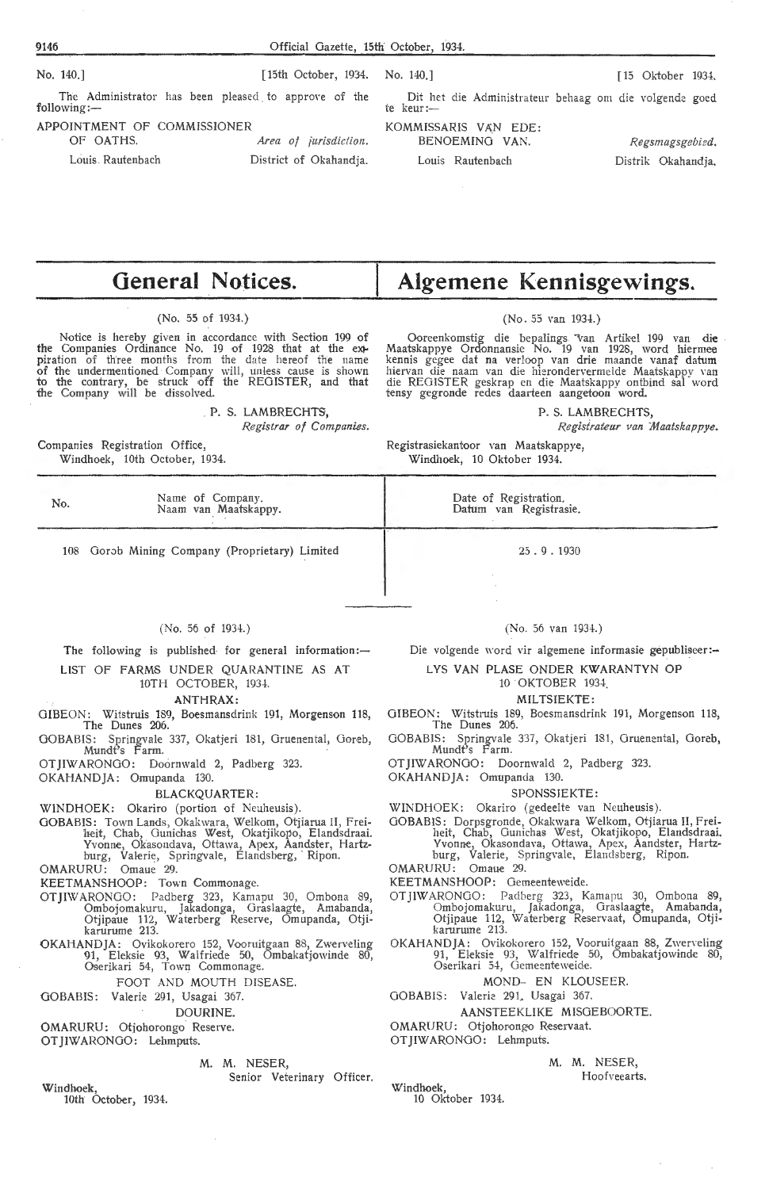The Administrator has been pleased to approve of the Dit het die Administrateur behaag om die volgende goed following:— The Administrator has been pleased to approve of the

APPOINTMENT OF COMMISSIONER

OF OATHS. *Area of jurisdiction.*  Louis. Rautenbach District of Okahandja.

No. 140.] [15th October, 1934. No. 140.] [ 15 Oktober 1934.

KOMMISSARIS VAN EDE: BENOEMING VAN. *Regsmagsgebied.*  Louis Rautenbach Distrik Okahandja.

# **General Notices.**

(No. 55 of 1934.)

Notice is hereby given in accordance with Section 199 of the Companies Ordinance No. 19 of 1928 that at the extpiration of three months from the date hereof the name of the undermentioned Company will, unless cause is shown to the contrary, be struck off the REGISTER, and that the Company will be dissolved.

> . **P. S. LAMBRECHTS,**  *Registrar of Companies.*

Companies Registration Office, Windhoek, 10th October, 1934.

No. Name of Company. Naam van Maatskappy.

108 Oorob Mining Company (Proprietary) Limited

#### (No. 56 of 1934.)

The following is published for general information: $-$ 

LIST OF FARMS UNDER QUARANTINE AS AT 10TH OCTOBER, 1934.

**.ANTHRAX:** 

GIBEON: Witstruis 189, Boesmansdrink 191, Morgenson 118, The Dunes 206.

GOBABIS: Springvale 337, Okatjeri 181, Gruenental, Goreb, Mundt's Farm. OTJIWARONGO: Doornwald 2, Padberg 323.

OKAHANDJA: Omupanda 130.

BLACKQUARTER:

WINDHOEK: Okariro (portion of Neuheusis).

GOBABIS: Town Lands, Okakwara, Welkom, Otjiarua II, Freiheit, Chab, Gunichas West, Okatjikopo, Elandsdraai. Yvonne, Okasondava, Ottawa, Apex, Aandster, Hartzburg, Valerie, Springvale, Elandsberg, · Ripon.

OMARURU: Omaue 29.

KEETMANSHOOP: Town Commonage.

- OTJIWARONOO: Padberg 323, Kamapu 30, Ombona 89, Ombojomakuru, Jakadonga, Graslaagte, Amabanda, Otjipaue 112, Waterberg Reserve, Omupanda, Otjikarurume 213.
- OKAHANDJA: Ovikokorero 152, Vooruitgaan 88, Zwerveling Ql, Eleksie 93, Walfriede 50, Ombakatjowinde 80, Oserikari 54, Town Commonage.

FOOT AND MOUTH DISEASE.

GOBABIS: Valerie 291, Usagai 367.

DOURINE.

OMARURU: Otjohorongo Reserve.

OTJIWARONGO: Lehmputs.

### **M. M.** NESER,

Senior Veterinary Officer.

**Windhoek,**  10th October, 1934. **Algemene Kennisgewings.** 

### (No. 55 van 1934.)

Ooreenkomstig die bepalings van Artikel 199 van die Maatskappye Ordonnansie No. 19 van 1928, word hiermee kennis gegee dat na verloop van drie maande vanaf datum hiervan die naam van die hierondervermelde Maatskappy van<br>die REGISTER geskrap en die Maatskappy ontbind sal word tensy gegronde redes daarteen aangetoon word.

**P. S. LAMBRECHTS,** 

*Regisirat-eur van Maatskappye.* 

Registrasiekantoor van Maatskappye, Windhoek, 10 Oktober 1934.

> Date of Registration. Datum van Registrasie.

> > 25 . 9 . 1930

(No. 56 van 1934.)

Die volgende word vir algemene informasie gepubliseer:-

LYS VAN PLASE ONDER KWARANTYN OP

10 OKTOBER 1934.

MILTSIEKTE:

GIBEON: Witstruis 189, Boesmansdrink 191, Morgenson 118, The Dunes 206.

GOBABIS: Springvale 337, Okatjeri 131, Gruenental, Goreb, Mundt's Farm.

OT JIWARONGO: Doornwald 2, Padberg 323.

OKAHANDJA: Omupanda 130.

#### SPONSSIEKTE:

WINDHOEK: Okariro (gedeelte van Neuheusis).

OOBABIS: Dorpsgronde, Okakwara Welkom, Otjiarua II, Freiheit, Chab, Ounichas West, Okatjikopo, Elandsdraai. Yvonne, Okasondava, Ottawa, Apex, Aandster, Hartzburg, Valerie, Springvale, Elandsberg, Ripon.

OMARURU: Omaue 29.

KEETMANSHOOP: Gemeenteweide.

- OTJIWARONOO: Padberg 323, Kamapu 30, Ombona 89, Ombojomakuru, Jakadonga, Oraslaagte, Amabanda, Otjipaue 112, Waterberg Reservaat, Omupanda, Otjikarurume 213.
- OKAHANDJA: Ovikokorero 152, Vooruitgaan 88, Zwerveling 91, El-eksie 93, Walfriede 50, Ombakatjowinde 80, Oserikari 54, Gemeenteweide.

#### MOND- EN KLOUSEER.

GOBABIS: Valerie 291. Usagai 367.

AANSTEEKLIKE MISGEBOORTE.

OMARURU: Otjohorongo Reservaat.

OT JIWARONGO: Lehmputs.

M. M. NESER,

Hoofveearts.

Windhoek, 10 Oktober 1934.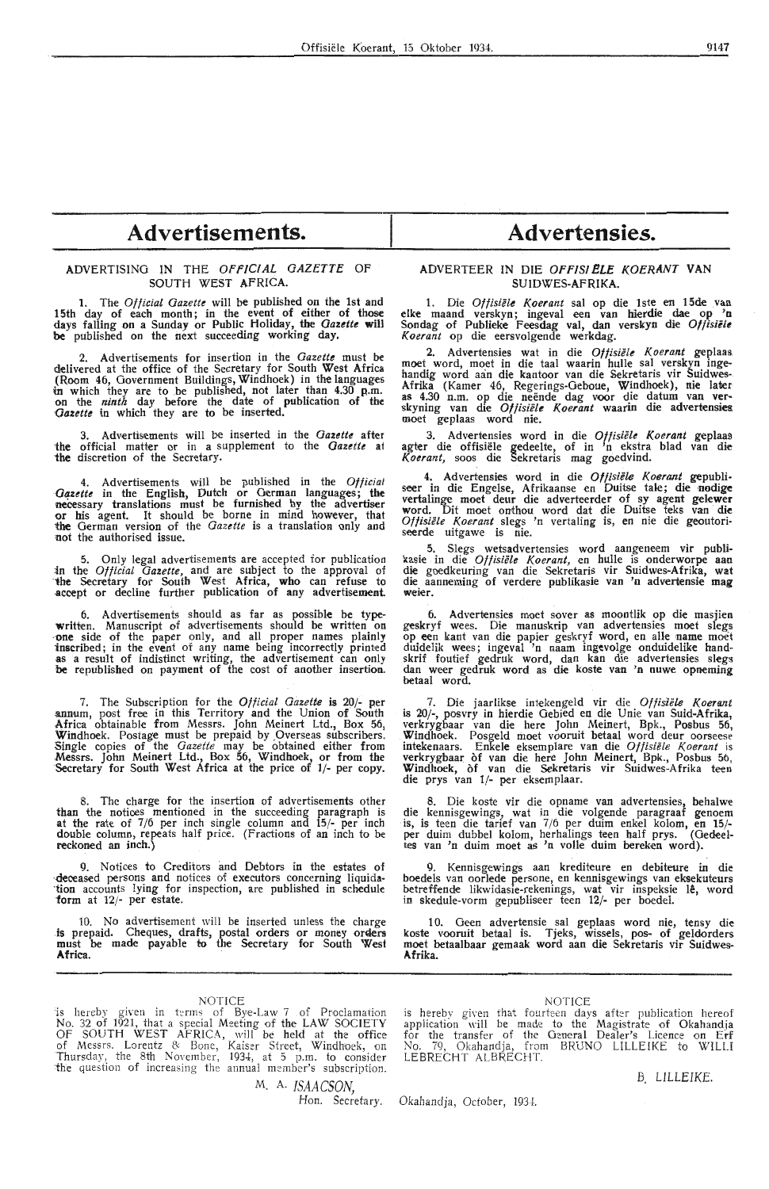# Advertisements. Advertensies.

#### ADVERTISING IN THE *OFFICIAL GAZETTE* OF SOUTH WEST AFRICA.

1. The *Official Gazette* will be published on the 1st and 15th day of each month; in the event of either of those days falling on a Sunday or Public Holiday, the *Gazette* **will be** published on the next succeeding working day.

2. Advertisements for insertion in the *Gazette* must be delivered at the office of the Secretary for South West **Africa**  (Room 46, Government Buildings, Windhoek) in the languages in which they are to be published, not later than 4.30 p.m.<br>on the *ninth* day before the date of publication of the *Gazette* in which they are to be inserted.

3. Advertisements will be inserted in the *Gazette* after the official matter or in a supplement to the *Gazette* at the discretion of the Secretary.

4. Advertisements will be published in the *Official Oqzette* in the English, Dutch or German languages; the necessary translations must be furnished by the advertiser **or** his agent. It should be borne in mind however, that **ihe** German version of the *Gautte* is a translation only and not the authorised issue.

5. Only legal advertisements are accepted for publication in the *Official Gazette*, and are subject to the approval of the Secretary for South West Africa, who can refuse to accept or decline further publication of any advertisement.

6. Advertisements should as far as possible be typewritten. Manuscript of advertisements should be written on one side of the paper only, and all proper names plainly inscribed; in the event of any name being incorrectly printed as a result of indistinct writing, the advertisement can only be republished on payment of the cost of another insertion.

7. The Subscription for the *Official Gazette* is 20/- per annum, post free in this Territory and the Union of South Africa obtainable from Messrs. John Meinert Ltd., Box 56, Windhoek. Postage must be prepaid by Overseas subscribers.<br>Single copies of the *Gazette* may be obtained either from Messrs. John Meinert Ltd., Box 56, Windhoek, or from the Secretary for South West Africa at the price of 1/- per copy.

The charge for the insertion of advertisements other than the notices mentioned in the succeeding paragraph is at the rate of 7/6 per inch single column and 15/- per inch double column, repeats half price. (Fractions of an inch to be reckoned an inch.

9. Notices to Creditors and Debtors in the estates of  $dece$  -deceased persons and notices of executors concerning liquidation accounts lying for inspection, are published in schedule<br>form at 12/- per estate.

10. No advertisement will be inserted unless the charge is prepaid. Cheques, drafts, postal orders or money orders must be made payable to the Secretary for South West **Africa.** .

NOTICE<br>is hereby given in terms of Bye-Law 7 of Proclamation No. 32 of 1921, that a special Meeting of the LAW SOCIETY Of SOUTH WEST AFRICA, will be held at the office of Messrs. Lorentz 8: Bone, Kaiser Street, Windhoek, on Thursday, the 8th November, 1934, at 5 p.m. to consider the question of increasing the annual member's subscription.

> M. A. *ISAACSON* Hon. Secretary.

#### ADVERTEER IN DIE OFF/SI *ELE* KOERANT VAN SUIDWES-AFRIKA.

1. Die *Offisiele Koerant* sal op die lste en 15de van elke maand verskyn; ingeval een van hierdie dae op **'o** Sondag of Publieke Feesdag val, dan verskyn die *Offisielt Koerant* op die eersvolgende werkdag.

2. Advertensies wat in die Offisiële Koerant geplaas. moet word, moet in die taal waarin hulle sal verskyn inge-<br>handig word aan die kantoor van die Sekretaris vir Suidwes-Afrika (Kamer 46, Regerings-Geboue, Windhoek), nie later as 4.30 n.m. op die neënde dag voor die datum van ver-<br>skyning van die *Offisiële Koerant* waarin die advertensies moet geplaas word nie.

3. Advertensies word in die Offisiële Koerant geplaas agter die offisiële gedeelte, of in 'n ekstra blad van die Koerant, soos die Sekretaris mag goedvind.

4. Advertensies word in die *Offisiële Koerant* gepubli-<br>seer in die Engelse, Afrikaanse en Duitse tale; die nodige vertalinge moet deur die adverteerder of sy agent gelewer **word.** Dit moet onthou word dat die Duitse teks van **die**  *Of fisiele Koerant* slegs 'n vertaling is, en nie die geoutoriseerde uitgawe is nie.

5. Slegs wetsadvertensies word aangeneem vir publikasie in die *Oftisiele Koerant,* en hulle is onderworpe aan die goedkeuring van die Sekretaris vir Suidwes-Afrika, **wat**  die aanneming of verdere publikasie van 'n advertensie mag **weier.** 

6. Advertensies moet sover as moontlik op die masjien geskryf wees. Die manuskrip van advertensies moet slegs op een kant van die papier geskryf word, en alle name moet duidelik wees; ingeval 'n naam ingcvolge onduidelike hand- skrif foutief gedruk word, dan kan die advertensies slegs dan weer gedruk word as die koste van 'n nuwe opneming betaal word.

7. Die jaarlikse intekengeld vir die Offisiële Koerant is 20/-, posvry in hierdie Oebied en die Unie van Suid-Afrika, verkrygbaar van die here John Meinert, Bpk., Posbus 56, Windhoek. Posgeld moet vooruit betaal word deur oorseese intekenaars. Enkele eksemplare van die *Offisiële Koerant* is verkrygbaar of van die here John Meinert, Bpk., Posbus 5b, Windhoek, of van die Sekretaris vir Suidwes-Afrika teen die prys van 1/- per eksemplaar.

8. Die koste vir die opname van advertensies, behalwe die kennisgewings, wat in die volgende paragraaf genoem is, is teen die tarief van 7 /6 per duim enkel kolom, en **15/** per duim dubbel kolom, herhalings teen half prys. (Oedeel-tes van 'n duim moet as 'n voile duim bereken word).

9. Kennisgewings aan krediteure en debiteure in die boedels van oorlede persone, en kennisgewings van eksekuteurs betreffende likwidasie-rekenings, wat vir inspeksie lê, word in skedule-vorm gepubliseer teen 12/- per boedel.

1 0. Geen advertensie sal geplaas word nie, tensy **die**  koste vooruit betaal is. Tjeks, wissels, pos- of geldorders moet betaalbaar gemaak word aan die Sekretaris vir Suidwes-**Afrika.** 

#### NOTICE

is hereby given that fourteen days after publication hereof application will be made to the Magistrate of Okahandja for the transfer of the General Dealer's Licence on Erf No, 79, Okahandja, from BRUNO LILLEIKE to WILLI LEBRECHT ALBRECHT.

*B. LILLEIKE.* 

Okahandja, October, 1934.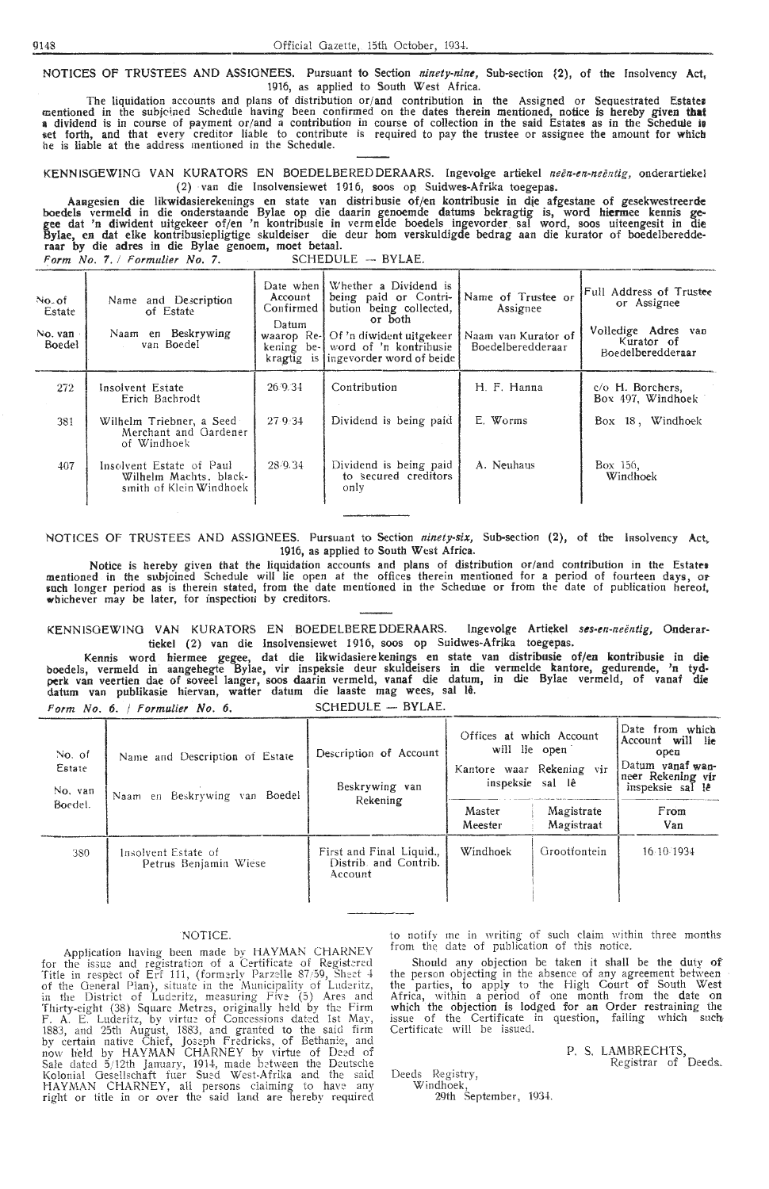NOTICES OF TRUSTEES AND ASSIGNEES. Pursuant to Section *ninety-nine,* Sub-section {2), of the Insolvency Act, 1916, as applied to South West Africa.

The liquidation accounts and plans of distribution or/and contribution in the Assigned or Sequestrated Estates mentioned in the subjoined Schedule having been confirmed on the dates therein mentioned, notice is hereby given that<br>a dividend is in course of payment or/and a contribution in course of collection in the said Estates as t.et forth, and that every creditor liable to contribute is required to pay the trustee or assignee the amount for **which**  he is liable at the address mentioned in the Schedule.

KENNISGEWING VAN KURATORS EN BOEDELBEREDDERAARS. Ingevolge artiekel *neën-en-neëntig*, onderartiekel ( 2) van die Insolvensiewet 1916, soos op Suidwes-Afrika toegepas.

Aaagesien die likwidasierekenings en state van distribusie of/en kontribusie in die afgestane of gesekwestreerde boedels vermeld in die onderstaande Bylae op die daarin genoemde datums bekragtig is, word **hiermee** kennis gegee dat 'n diwident uitgekeer of/en 'n kontribusie in vermelde boedels ingevorder. sal word, soos uiteengesit in **die**  Bylae, en dat elke kontribusiepligtige skuldeiser die deur horn verskuldigde bedrag aan die kurator of boedelberedderaar by die adres in die Bylae genoem, moet betaal. Form No. 7. / Formulier No. 7. SCHEDULE - BYLAE.

| No. of<br>Estate<br>No. van.<br>Boedel | Name and Description<br>of Estate<br>Naam en Beskrywing<br>van Boedel         | Account<br>Confirmed<br>$D$ atum | Date when Whether a Dividend is<br>being paid or Contri-<br>bution being collected,<br>or both<br>waarop Re-J Of 'n diwident uitgekeer<br>kening be- word of 'n kontribusie<br>kragtig is lingevorder word of beide | Name of Trustee or<br>Assignee<br>Naam van Kurator of<br>Boedelberedderaar | Full Address of Trustee<br>or Assignee<br>Volledige Adres van<br>Kurator of<br>Boedelberedderaar |
|----------------------------------------|-------------------------------------------------------------------------------|----------------------------------|---------------------------------------------------------------------------------------------------------------------------------------------------------------------------------------------------------------------|----------------------------------------------------------------------------|--------------------------------------------------------------------------------------------------|
| 272                                    | Insolvent Estate<br>Erich Bachrodt                                            | 26.9.34                          | Contribution                                                                                                                                                                                                        | H. F. Hanna                                                                | c/o H. Borchers,<br>Box 497, Windhoek                                                            |
| 381                                    | Wilhelm Triebner, a Seed<br>Merchant and Gardener<br>of Windhoek              | 27.9.34                          | Dividend is being paid                                                                                                                                                                                              | E. Worms                                                                   | Box 18, Windhoek                                                                                 |
| 407                                    | Insolvent Estate of Paul<br>Wilhelm Machts, black-<br>smith of Klein Windhoek | 28/9.34                          | Dividend is being paid<br>to secured creditors<br>only                                                                                                                                                              | A. Neuhaus                                                                 | Box 156.<br>Windhoek                                                                             |

NOTICES Of TRUSTEES AND ASSIGNEES. Pursuant to Section *ninety-six,* Sub-section (2), of the lasolvency **Act,.**  1916, as applied to South West Africa.

Notice is hereby given that the liquidation accounts and plans of distribution or/and contribution in the Estate• mentioned in the subjoined Schedule will lie open at the offices therein mentioned for a period of fourteen days, or such longer period as is therein stated, from the date mentioned in the Scheduie or from the date of publication hereof, whichever may be later, for inspection by creditors.

KENNISOEWINO VAN KURATORS EN BOEDELBEREDDERAARS. Ingevolge Artiekel *ses-en-neentig,* Onderartiekel (2) van die Insolvensiewet 1916, soos op Suidwes-Afrika toegepas.

Kennis word hiermee gegee, dat die likwidasiere kenings en state van distribusie of/en kontribusie in die boedels, vermeld in' aangehegte Bylae, vir inspeksie deur skuldeisers in die vermelde kantore, gedurende, 'n tyd• perk van veertien dae of soveel langer, soos daarin vermeld, vanaf die datum, in die Bylae vermeld, of vanaf die datum van publikasie hiervan, watter datum die laaste mag wees, sal le.

|  | Form No. 6.   Formulier No. 6. |  | SCHEDULE - BYLAE |  |  |
|--|--------------------------------|--|------------------|--|--|
|  |                                |  |                  |  |  |

| No. of<br>Estate<br>No. van | Name and Description of Estate<br>Naam en Beskrywing van Boedel | Description of Account<br>Beskrywing van                     | Offices at which Account<br>will lie open<br>Kantore waar Rekening vir<br>inspeksie sal lê | Date from which<br>Account will lie<br>open<br>Datum vanaf wan-<br>neer Rekening vir<br>inspeksie sal lê |             |
|-----------------------------|-----------------------------------------------------------------|--------------------------------------------------------------|--------------------------------------------------------------------------------------------|----------------------------------------------------------------------------------------------------------|-------------|
| Boedel.                     |                                                                 | Rekening                                                     | Master<br>Meester                                                                          | Magistrate<br>Magistraat                                                                                 | From<br>Van |
| 380                         | Insolvent Estate of<br>Petrus Benjamin Wiese                    | First and Final Liquid.,<br>Distrib. and Contrib.<br>Account | Windhoek                                                                                   | Grootfontein                                                                                             | 16.10.1934  |

#### NOTICE.

Application having been made by HAYMAN CHARNEY for the issue and registration of a Certificate of Registered Title in respect of Erf 111, (formerly Parzelle 87/59, Sheet  $4$ of the General Plan), situate in the Municipality of Luderitz, in the District of Luderitz, measuring Five (5) Ares and Thirty-eight (38) Square Metres, originally held by the Firm<br>F. A. E. Luderitz, by virtue of Concessions dated 1st May, 1883, and 25th August, 1883, and granted to the said firm by certain native Chief, Joseph Fredricks, of Bethan:e, and now held bv HAYMAN CHARNEY bv virtue of Deed of Sale dated 5/12th January, 1914, made between the Deutsche Kolonial Gesellschaft fuer Sued West-Afrika and the said HAYMAN CHARNEY, all persons claiming to have any right or title in or over the said land are hereby required

to notify me in writing of such claim within three months from the date of publication of this notice.

Should any objection be taken it shall be the duty of the person objecting in the absence of any agreement between · the parties, to apply to the High Court of South West Africa, within a period of one month from the date on which the objection is lodged for an Order restraining the issue of the Certificate in question, failing which such Certificate will be issued.

> P. S. LAMBRECHTS, Registrar of Deeds-

Deeds Registry,

Windhoek, 29th September, 1934.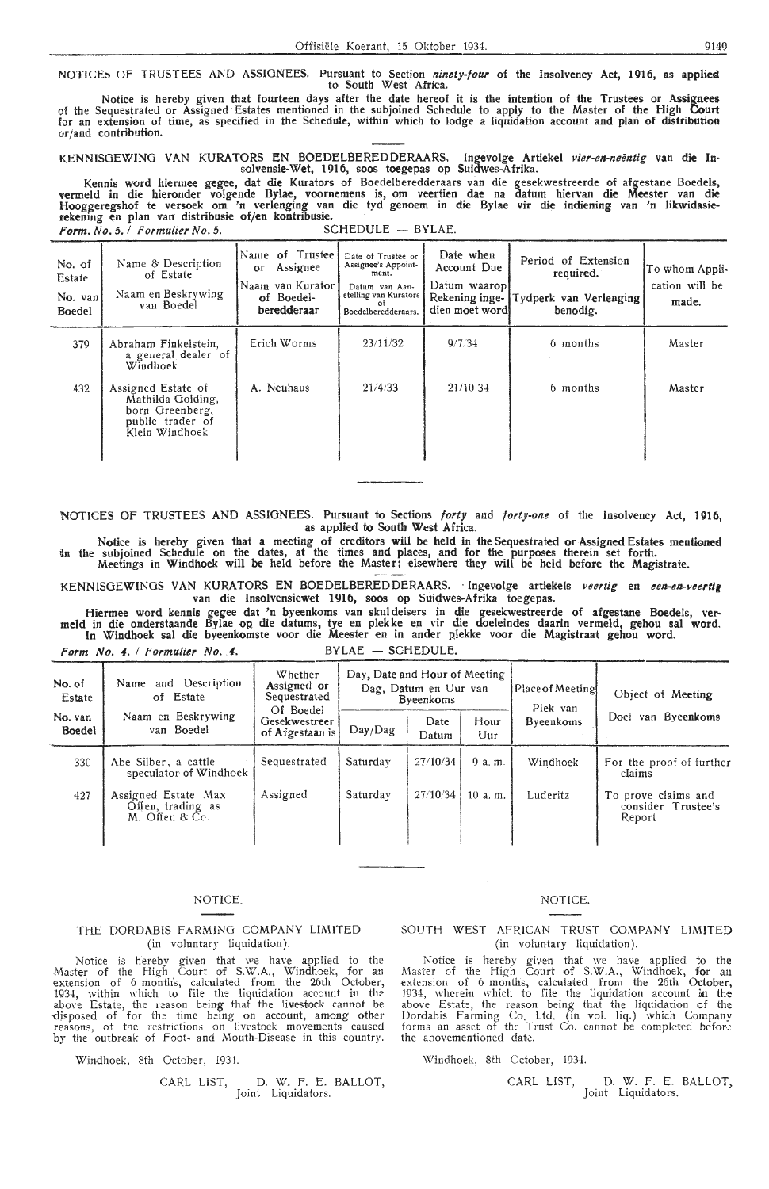NOTICES Of TRUSTEES AND ASSIGNEES. Pursuant to Section *ninety-four* of the Insolvency Act, 1916, as applied to South West Africa.

Notice is hereby given that fourteen days after the date hereof it is the intention of the Trustees or Assignees<br>of the Sequestrated or Assigned Estates mentioned in the subjoined Schedule to apply to the Master of the Hig for an extension of time, as specified in the Schedule, within which to lodge a liquidation account and plan of distribution or/and contribution.

KENNISGEWING VAN KURATORS EN BOEDELBEREDDERAARS. Ingevolge Artiekel *vier-en-neëntig* van die In-<br>solvensie-Wet, 1916, soos toegepas op Suidwes-Afrika.

Kennis word hiermee gegee, dat die Kurators of Boedelberedderaars van die gesekwestreerde of afgestane Boedels, vermeld in die hieronder volgende Bylae, voornemens is, om veertien dae na datum hiervan die Meester van die<br>Hooggeregshof te versoek om 'n verlenging van die tyd genoem in die Bylae vir die indiening van 'n likwidasierekening en plan van distribusie of/en kontribusie. · **Form.** *No. 5. / Formulier No. 5.* **12.**  SCHEDULE - BYLAE.

Name of Trustee Date of Trustee or Date when<br>or Assignee's Appoint-<br>ment. Account Due No. of Name & Description or Assignee Assignee's Appoint-<br>
Estate of Estate of Estate Ment. Passignee's Appoint-<br> **Estate** Deturn weaponed. Naam van Kurator Datum van Aan-<br>
of Boedelstelling van Kurators Rekening inge- Tydperk van Verlenging made. No. van Naam en Beskrywing of Boedel-<br>Boedel van Boedel- beredderaar No. van Naam en Beskrywing of Boedel- stelling van Kurators Rekening inge- Tydperk van Verlenging made.<br>Boedel van Boedel beredderaar Boedelberedderaars. dien moet word benodig.  $379$  Abraham Finkelstein, Erich Worms 23/11/32 9/7/34 6 months Master Master Windhoek 432 | Assigned Estate of Mathilda Golding, A. Neuhaus  $\begin{array}{|c|c|c|c|c|c|c|c|} \hline \text{A} & \text{N} & \text{A} & \text{A} & \text{A} & \text{A} & \text{A} & \text{A} & \text{A} & \text{A} & \text{A} \\ \hline \end{array}$ born Greenberg,<br>public trader of Klein Windhoek

NOTlCES OF TRUSTEES AND ASSIGNEES. Pursuant to Sections *forty* and *forty-one* of the Insolvency Act, **1916,**  as applied to South West Africa.

Notice is hereby given that a meeting of creditors will be held in the Sequestrated or Assigned Estates mentioned fo the subjoined Schedule on the dates, at the times and places, and for the purposes therein set forth. Meetings in Windhoek will be held before the Master; elsewhere they will be held before the Magistrate.

KENNISGEWINOS VAN KURATORS EN BOEDELBEREDDERAARS. · Ingevolge artiekels *veertig* en *een-en-veertif*  van die lnsolvensiewet 1916, soos op Suidwes-Afrika toegepas.

Hiermee word kennis gegee dat 'n byeenkoms van skuldeisers in die gesekwestreerde of afgestane Boedels, vermeld in die onderstaande Bylae op die datums, tye en plekke en vir die doeleindes daarin vermeld, gehou sal word.<br>I

Form No. 4. */ Formulier No. 4.* BYLAE - SCHEDULE.

| No. of<br>Estate         | Whether<br>Name and Description<br>Assigned or<br>of Estate<br>Sequestrated |                                               | Day, Date and Hour of Meeting<br>Dag, Datum en Uur van<br><b>B</b> yeenkoms |               |              | l Place of Meetingl<br>Plek van | Object of Meeting                                   |  |
|--------------------------|-----------------------------------------------------------------------------|-----------------------------------------------|-----------------------------------------------------------------------------|---------------|--------------|---------------------------------|-----------------------------------------------------|--|
| No. yan<br><b>Boedel</b> | Naam en Beskrywing<br>van Boedel                                            | Of Boedel<br>Gesekwestreer<br>of Afgestaan is | Day/Dag                                                                     | Date<br>Datum | Hour<br>Uur  | <b>Byeenkoms</b>                | Doel van Byeenkoms                                  |  |
| 330                      | Abe Silber, a cattle<br>speculator of Windhoek                              | Sequestrated                                  | Saturday                                                                    | 27/10/34      | $9a$ , $m$ . | Windhoek                        | For the proof of further<br>claims                  |  |
| $-427$                   | Assigned Estate Max<br>Offen, trading as<br>M. Offen & Co.                  | Assigned                                      | Saturday                                                                    | 27/10/34      | 10a.m.       | Luderitz                        | To prove claims and<br>consider Trustee's<br>Report |  |

#### NOTICE.

#### THE DORDABIS FARMING COMPANY LIMITED (in voluntary liquidation).

Notice is hereby given that we have applied to the Master of the High Court of S.W.A., Windhoek, for an extension of 6 month·s, calculated from the 26th October, 1934, within which to file the liquidation account in the above Estate, the reason being that the livestock cannot be disposed of for the time being on account, among other reasons, of the restrictions on livestock movements caused by the outbreak of Foot- and Mouth-Disease in this country.

Windhoek, 8th October, 1934.

# CARL LIST, D. W. F. E. BALLOT, Joint Liquidators.

#### NOTICE.

SOUTH WEST AFRICAN TRUST COMPANY LIMITED (in voluntary liquidation).

Notice is hereby given that we have applied to the Master of the High Court of S.W.A., Windhoek, for an extension of 6 months, calculated from the 26th October, 1934, wherein which to file the liquidation account in the above Estate, the reason being that the liquidation of the Dordabis Farming Co. Ltd. (in vol. liq.) which Company forms an asset of the Trust Co. cannot be completed before the abovementioned date.

Windhoek, 8th October, 1934.

CARL LIST, D. W. F. E. BALLOT, Joint Liquidators.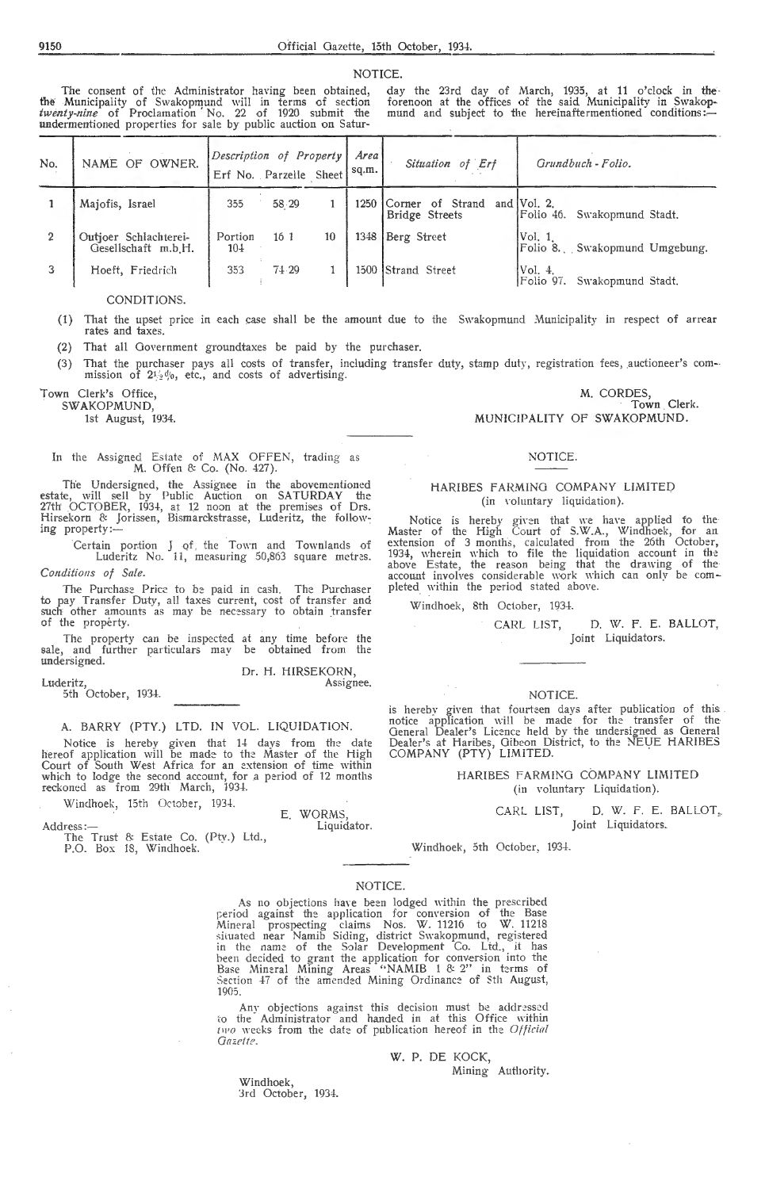NOTICE.

The consent of the Administrator having been obtained,<br>the Municipality of Swakopmund will in terms of section<br>*twenty-nine* of Proclamation No. 22 of 1920 submit the<br>**undermentioned** properties for sale by public auction

day the 23rd day of March, 1935, at 11 o'clock in the<br>forenoon at the offices of the said Municipality in Swakop-<br>mund and subject to the hereinaftermentioned conditions:

| No. | NAME OF OWNER.                               | Description of Property<br>Erf No. Parzelle Sheet |                 |    | Area<br>sq.m. | Situation of Erf                   | Grundbuch - Folio.                             |
|-----|----------------------------------------------|---------------------------------------------------|-----------------|----|---------------|------------------------------------|------------------------------------------------|
|     | Majofis, Israel                              | 355                                               | 58.29           |    | 1250          | Corner of Strand<br>Bridge Streets | and $ Vol. 2$ .<br>Folio 46. Swakopmund Stadt, |
|     | Outjoer Schlachterei-<br>Gesellschaft m.b.H. | Portion<br>104                                    | 16 <sub>1</sub> | 10 | 1348          | Berg Street                        | Vol. 1<br>Folio 8. Swakopmund Umgebung.        |
|     | Hoeft, Friedrich                             | 353                                               | 74.29           |    |               | 1500 Strand Street                 | Vol. 4.<br>Swakopmund Stadt,<br>Folio 97.      |

CONDITIONS.

(1) That the upset price in each case shall be the amount due to the Swakopmund Municipality in respect of arrear rates and taxes.

That all Government groundtaxes be paid by the purchaser.  $(2)$ 

(3) That the purchaser pays all costs of transfer, including transfer duty, stamp duty, registration fees, auctioneer's commission of  $2l_2d_0$ , etc., and costs of advertising.

Town Clerk's Office, SWAKOPMUND.

1st August, 1934.

In the Assigned Estate of MAX OFFEN, trading as M. Offen & Co. (No. 427).

The Undersigned, the Assignee in the abovementioned<br>estate, will sell by Public Auction on SATURDAY the<br>27th OCTOBER, 1934, at 12 noon at the premises of Drs.<br>Hirsekorn & Jorissen, Bismarckstrasse, Luderitz, the following property:

Certain portion J of the Town and Townlands of<br>Luderitz No. 11, measuring 50,863 square metres. Conditions of Sale.

The Purchase Price to be paid in cash. The Purchaser<br>to pay Transfer Duty, all taxes current, cost of transfer and<br>such other amounts as may be necessary to obtain transfer of the property.

The property can be inspected at any time before the<br>, and further particulars may be obtained from the sale, and undersigned.

Dr. H. HIRSEKORN, Assignee.

Luderitz,<br>5th October, 1934.

Address:-

A. BARRY (PTY.) LTD. IN VOL. LIQUIDATION.

Notice is hereby given that 14 days from the date<br>hereof application will be made to the Master of the High<br>Court of South West Africa for an extension of time within which to lodge the second account, for a period of 12 months reckoned as from 29th March, 1934.

Windhoek, 15th October, 1934.

E. WORMS

The Trust & Estate Co. (Pty.) Ltd.,<br>P.O. Box 18, Windhoek.

Liquidator.

## NOTICE.

MUNICIPALITY OF SWAKOPMUND.

M. CORDES,

Town Clerk.

#### HARIBES FARMING COMPANY LIMITED (in voluntary liquidation).

Notice is hereby given that we have applied to the<br>Master of the High Court of S.W.A., Windhoek, for an<br>extension of 3 months, calculated from the 26th October,<br>1934, wherein which to file the liquidation account in the<br>ab pleted within the period stated above.

Windhoek, 8th October, 1934.

D. W. F. E. BALLOT, CARL LIST, Joint Liquidators.

#### NOTICE.

is hereby given that fourteen days after publication of this<br>notice application will be made for the transfer of the<br>General Dealer's Licence held by the undersigned as General<br>Dealer's at Haribes, Gibeon District, to the

HARIBES FARMING COMPANY LIMITED (in voluntary Liquidation).

> D. W. F. E. BALLOT, CARL LIST, Joint Liquidators.

Windhoek, 5th October, 1934.

#### NOTICE.

As no objections have been lodged within the prescribed<br>period against the application for conversion of the Base<br>Mineral prospecting claims Nos. W. 11216 to W. 11218<br>situated near Namib Siding, district Swakopmund, regis 1905.

Any objections against this decision must be addressed<br>to the Administrator and handed in at this Office within two weeks from the date of publication hereof in the Official Gazette.

W. P. DE KOCK,

Mining Authority.

Windhoek, 3rd October, 1934.